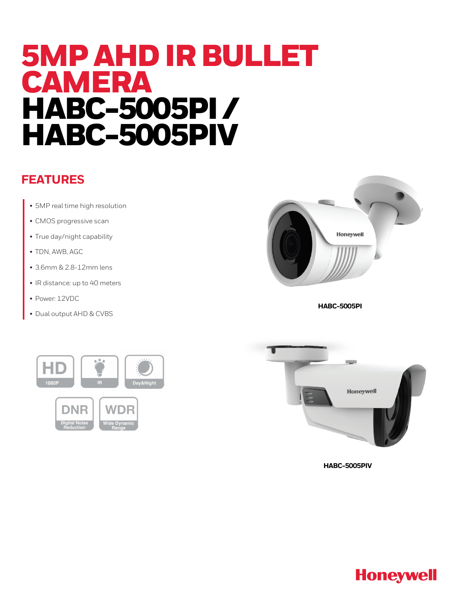# 5MP AHD IR BULLET CAMERA HABC-5005PI / HABC-5005PIV

# **FEATURES**

- 5MP real time high resolution
- CMOS progressive scan
- True day/night capability
- TDN, AWB, AGC
- 3.6mm & 2.8-12mm lens
- IR distance: up to 40 meters
- Power: 12VDC
- Dual output AHD & CVBS



**HABC-5005PI**





**HABC-5005PIV**

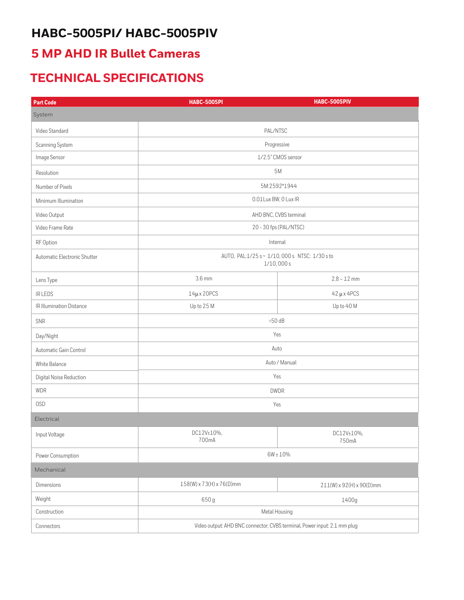# **HABC-5005PI/ HABC-5005PIV**

## **5 MP AHD IR Bullet Cameras**

# **TECHNICAL SPECIFICATIONS**

| <b>Part Code</b>             | <b>HABC-5005PI</b>                                                       | <b>HABC-5005PIV</b>      |
|------------------------------|--------------------------------------------------------------------------|--------------------------|
| System                       |                                                                          |                          |
| Video Standard               | PAL/NTSC                                                                 |                          |
| Scanning System              | Progressive                                                              |                          |
| Image Sensor                 | 1/2.5" CMOS sensor                                                       |                          |
| Resolution                   | 5M                                                                       |                          |
| Number of Pixels             | 5M:2592*1944                                                             |                          |
| Minimum Illumination         | 0.01Lux BW, 0 Lux IR                                                     |                          |
| Video Output                 | AHD BNC, CVBS terminal                                                   |                          |
| Video Frame Rate             | 20 - 30 fps (PAL/NTSC)                                                   |                          |
| RF Option                    | Internal                                                                 |                          |
| Automatic Electronic Shutter | AUTO, PAL:1/25 s~ 1/10,000 s NTSC: 1/30 s to<br>1/10,000s                |                          |
| Lens Type                    | 3.6 mm                                                                   | $2.8 - 12$ mm            |
| IR LEDS                      | $14\mu$ x 20PCS                                                          | $42 \mu x 4PCS$          |
| IR Illumination Distance     | Up to 25 M                                                               | Up to 40 M               |
| SNR                          | $>50$ dB                                                                 |                          |
| Day/Night                    | Yes                                                                      |                          |
| Automatic Gain Control       | Auto                                                                     |                          |
| White Balance                | Auto / Manual                                                            |                          |
| Digital Noise Reduction      | Yes                                                                      |                          |
| <b>WDR</b>                   | <b>DWDR</b>                                                              |                          |
| <b>OSD</b>                   | Yes                                                                      |                          |
| Electrical                   |                                                                          |                          |
| Input Voltage                | DC12V±10%,<br>700mA                                                      | DC12V±10%,<br>750mA      |
| Power Consumption            | $6W \pm 10\%$                                                            |                          |
| Mechanical                   |                                                                          |                          |
| Dimensions                   | 158(W) x 73(H) x 76(D)mm                                                 | 211(W) x 92(H) x 90(D)mm |
| Weight                       | 650g                                                                     | 1400g                    |
| Construction                 | Metal Housing                                                            |                          |
| Connectors                   | Video output: AHD BNC connector; CVBS terminal, Power input: 2.1 mm plug |                          |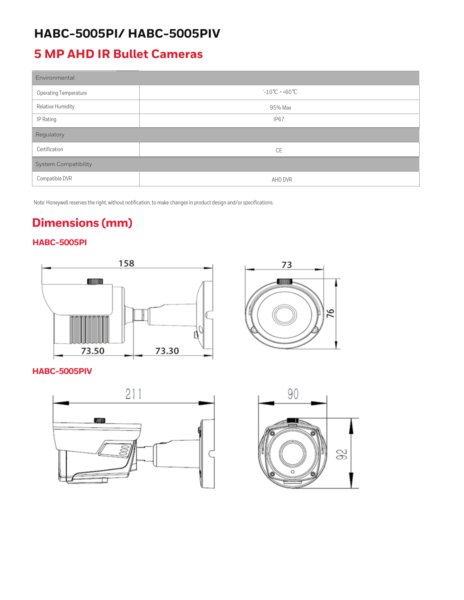# **HABC-5005PI/ HABC-5005PIV**

# **5 MP AHD IR Bullet Cameras**

| Environmental                |                                    |  |
|------------------------------|------------------------------------|--|
| <b>Operating Temperature</b> | $-10^{\circ}$ C ~ +60 $^{\circ}$ C |  |
| Relative Humidity            | 95% Max                            |  |
| IP Rating                    | <b>IP67</b>                        |  |
| Regulatory                   |                                    |  |
| Certification                | <b>CE</b>                          |  |
| <b>System Compatibility</b>  |                                    |  |
| Compatible DVR               | AHD DVR                            |  |

Note: Honeywell reserves the right, without notification, to make changes in product design and/or specifications.

# **Dimensions (mm)**

### **HABC-5005PI**



**HABC-5005PIV**